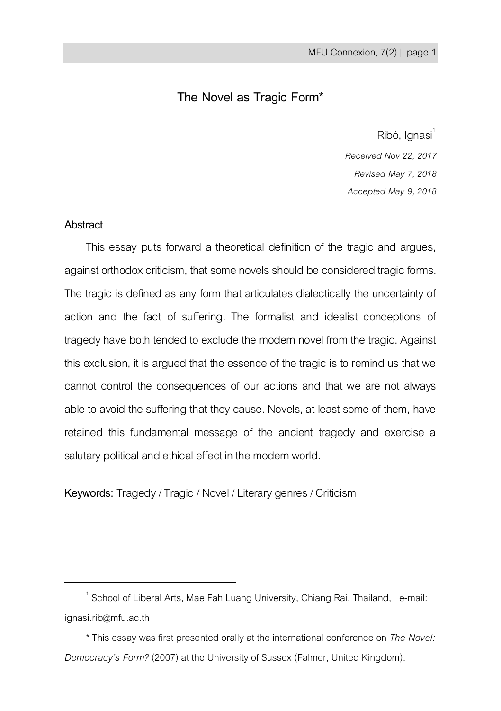# **The Novel as Tragic Form\***

Ribó, Ignasi<sup>1</sup>

*Received Nov 22, 2017 Revised May 7, 2018 Accepted May 9, 2018*

## **Abstract**

 $\overline{a}$ 

This essay puts forward a theoretical definition of the tragic and argues, against orthodox criticism, that some novels should be considered tragic forms. The tragic is defined as any form that articulates dialectically the uncertainty of action and the fact of suffering. The formalist and idealist conceptions of tragedy have both tended to exclude the modern novel from the tragic. Against this exclusion, it is argued that the essence of the tragic is to remind us that we cannot control the consequences of our actions and that we are not always able to avoid the suffering that they cause. Novels, at least some of them, have retained this fundamental message of the ancient tragedy and exercise a salutary political and ethical effect in the modern world.

**Keywords:** Tragedy / Tragic / Novel / Literary genres / Criticism

 $^1$  School of Liberal Arts, Mae Fah Luang University, Chiang Rai, Thailand, e-mail: ignasi.rib@mfu.ac.th

<sup>\*</sup>This essay was first presented orally at the international conference on *The Novel: Democracy's Form?* (2007) at the University of Sussex (Falmer, United Kingdom).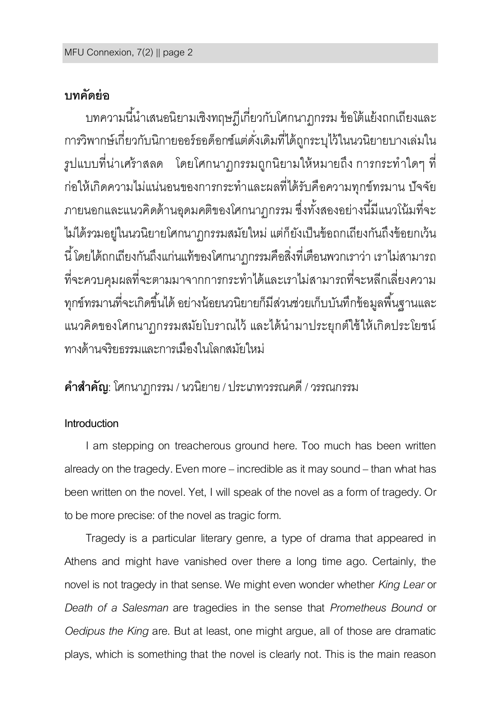# **บทคัดย่อ**

บทความนี้นำเสนอนิยามเชิงทฤษฎีเกี่ยวกับโศกนาฎกรรม ข้อโต้แย้งถกเถียงและ การวิพากษ์เกี่ยวกับนิกายออร์ธอด็อกซ์แต่ดั่งเดิมที่ได้ถูกระบุไว้ในนวนิยายบางเล่มใน ้รูปแบบที่น่าเศร้าสลด โดยโศกนาฏกรรมถูกนิยามให้หมายถึง การกระทำใดๆ ที่ ก่อให้เกิดความไม่แน่นอนของการกระทำและผลที่ได้รับคือความทุกข์ทรมาน ปัจจัย ภายนอกและแนวคิดด้านอุดมคติของโศกนาฏกรรม ซึ่งทั้งสองอย่างนี้มีแนวโน้มที่จะ ไม่ได้รวมอยู่ในนวนิยายโศกนาฏกรรมสมัยใหม่แต่ก็ยังเป็นข้อถกเถียงกันถึงข้อยกเว้น นี ้ โดยได้ถกเถียงกันถึงแก่นแท้ของโศกนาฏกรรมคือสิ่งที่เตือนพวกเราว่า เราไม่สามารถ ที่จะควบคุมผลที่จะตามมาจากการกระท าได้และเราไม่สามารถที่จะหลีกเลี่ยงความ ทุกข์ทรมานที่จะเกิดขึ้นได้ อย่างน้อยนวนิยายก็มีส่วนช่วยเก็บบันทึกข้อมูลพื้นฐานและ แนวคิดของโศกนาฏกรรมสมัยโบราณไว้ และได้นำมาประยุกต์ใช้ให้เกิดประโยชน์ ทางด้านจริยธรรมและการเมืองในโลกสมัยใหม่

# **ค ำส ำคัญ**: โศกนาฏกรรม / นวนิยาย / ประเภทวรรณคดี/ วรรณกรรม

# **Introduction**

I am stepping on treacherous ground here. Too much has been written already on the tragedy. Even more – incredible as it may sound – than what has been written on the novel. Yet, I will speak of the novel as a form of tragedy. Or to be more precise: of the novel as tragic form.

Tragedy is a particular literary genre, a type of drama that appeared in Athens and might have vanished over there a long time ago. Certainly, the novel is not tragedy in that sense. We might even wonder whether *King Lear*or *Death of a Salesman* are tragedies in the sense that *Prometheus Bound* or *Oedipus the King* are. But at least, one might argue, all of those are dramatic plays, which is something that the novel is clearly not. This is the main reason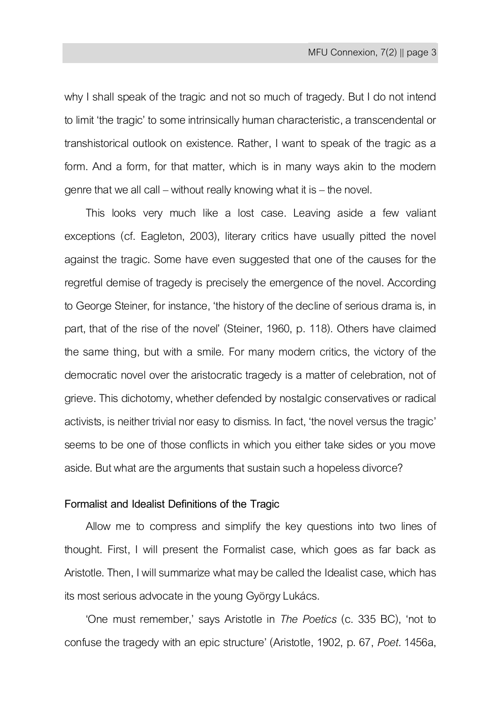why I shall speak of the tragic and not so much of tragedy. But I do not intend to limit 'the tragic' to some intrinsically human characteristic, a transcendental or transhistorical outlook on existence. Rather, I want to speak of the tragic as a form. And a form, for that matter, which is in many ways akin to the modern genre that we all call – without really knowing what it is – the novel.

This looks very much like a lost case. Leaving aside a few valiant exceptions (cf. Eagleton, 2003), literary critics have usually pitted the novel against the tragic. Some have even suggested that one of the causes for the regretful demise of tragedy is precisely the emergence of the novel. According to George Steiner, for instance, 'the history of the decline of serious drama is, in part, that of the rise of the novel' (Steiner, 1960, p. 118). Others have claimed the same thing, but with a smile. For many modern critics, the victory of the democratic novel over the aristocratic tragedy is a matter of celebration, not of grieve. This dichotomy, whether defended by nostalgic conservatives or radical activists, is neither trivial nor easy to dismiss. In fact, 'the novel versus the tragic' seems to be one of those conflicts in which you either take sides or you move aside. But what are the arguments that sustain such a hopeless divorce?

### **Formalist and Idealist Definitions of the Tragic**

Allow me to compress and simplify the key questions into two lines of thought. First, I will present the Formalist case, which goes as far back as Aristotle. Then, I will summarize what may be called the Idealist case, which has its most serious advocate in the young György Lukács.

'One must remember,' says Aristotle in *The Poetics* (c. 335 BC), 'not to confuse the tragedy with an epic structure' (Aristotle, 1902, p. 67, *Poet.*1456a,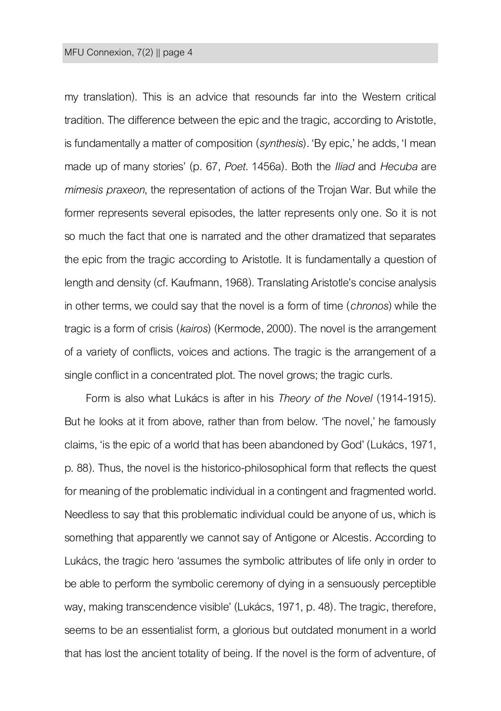my translation). This is an advice that resounds far into the Western critical tradition. The difference between the epic and the tragic, according to Aristotle, is fundamentally a matter of composition (*synthesis*). 'By epic,' he adds, 'I mean made up of many stories' (p. 67, *Poet.* 1456a). Both the *Iliad* and *Hecuba* are *mimesis praxeon*, the representation of actions of the Trojan War. But while the former represents several episodes, the latter represents only one. So it is not so much the fact that one is narrated and the other dramatized that separates the epic from the tragic according to Aristotle. It is fundamentally a question of length and density (cf. Kaufmann, 1968). Translating Aristotle's concise analysis in other terms, we could say that the novel is a form of time (*chronos*) while the tragic is a form of crisis (*kairos*) (Kermode, 2000). The novel is the arrangement of a variety of conflicts, voices and actions. The tragic is the arrangement of a single conflict in a concentrated plot. The novel grows; the tragic curls.

Form is also what Lukács is after in his *Theory of the Novel* (1914-1915). But he looks at it from above, rather than from below. 'The novel,' he famously claims, 'is the epic of a world that has been abandoned by God' (Lukács, 1971, p. 88). Thus, the novel is the historico-philosophical form that reflects the quest for meaning of the problematic individual in a contingent and fragmented world. Needless to say that this problematic individual could be anyone of us, which is something that apparently we cannot say of Antigone or Alcestis. According to Lukács, the tragic hero 'assumes the symbolic attributes of life only in order to be able to perform the symbolic ceremony of dying in a sensuously perceptible way, making transcendence visible' (Lukács, 1971, p. 48). The tragic, therefore, seems to be an essentialist form, a glorious but outdated monument in a world that has lost the ancient totality of being. If the novel is the form of adventure, of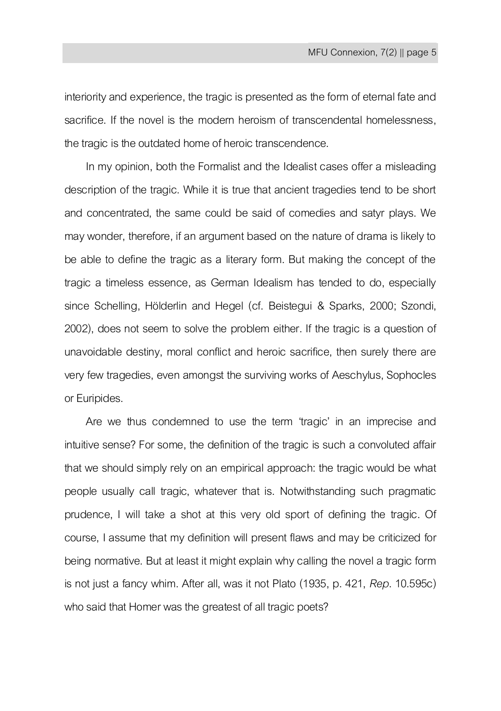interiority and experience, the tragic is presented as the form of eternal fate and sacrifice. If the novel is the modern heroism of transcendental homelessness, the tragic is the outdated home of heroic transcendence.

In my opinion, both the Formalist and the Idealist cases offer a misleading description of the tragic. While it is true that ancient tragedies tend to be short and concentrated, the same could be said of comedies and satyr plays. We may wonder, therefore, if an argument based on the nature of drama is likely to be able to define the tragic as a literary form. But making the concept of the tragic a timeless essence, as German Idealism has tended to do, especially since Schelling, Hölderlin and Hegel (cf. Beistegui & Sparks, 2000; Szondi, 2002), does not seem to solve the problem either. If the tragic is a question of unavoidable destiny, moral conflict and heroic sacrifice, then surely there are very few tragedies, even amongst the surviving works of Aeschylus, Sophocles or Euripides.

Are we thus condemned to use the term 'tragic' in an imprecise and intuitive sense? For some, the definition of the tragic is such a convoluted affair that we should simply rely on an empirical approach: the tragic would be what people usually call tragic, whatever that is. Notwithstanding such pragmatic prudence, I will take a shot at this very old sport of defining the tragic. Of course, I assume that my definition will present flaws and may be criticized for being normative. But at least it might explain why calling the novel a tragic form is not just a fancy whim. After all, was it not Plato (1935, p. 421, *Rep*. 10.595c) who said that Homer was the greatest of all tragic poets?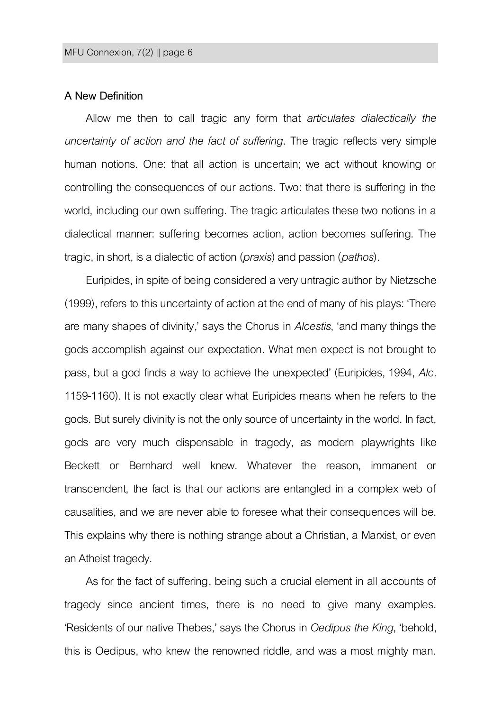### **A New Definition**

Allow me then to call tragic any form that *articulates dialectically the uncertainty of action and the fact of suffering.* The tragic reflects very simple human notions. One: that all action is uncertain; we act without knowing or controlling the consequences of our actions. Two: that there is suffering in the world, including our own suffering. The tragic articulates these two notions in a dialectical manner: suffering becomes action, action becomes suffering. The tragic, in short, is a dialectic of action(*praxis*)and passion(*pathos*).

Euripides, in spite of being considered a very untragic author by Nietzsche (1999), refers to this uncertainty of action at the end of many of his plays: 'There are many shapes of divinity,' says the Chorus in *Alcestis*, 'and many things the gods accomplish against our expectation. What men expect is not brought to pass, but a god finds a way to achieve the unexpected' (Euripides, 1994, *Alc.* 1159-1160). It is not exactly clear what Euripides means when he refers to the gods. But surely divinity is not the only source of uncertainty in the world. In fact, gods are very much dispensable in tragedy, as modern playwrights like Beckett or Bernhard well knew. Whatever the reason, immanent or transcendent, the fact is that our actions are entangled in a complex web of causalities, and we are never able to foresee what their consequences will be. This explains why there is nothing strange about a Christian, a Marxist, or even an Atheist tragedy.

As for the fact of suffering, being such a crucial element in all accounts of tragedy since ancient times, there is no need to give many examples. 'Residents of our native Thebes,' says the Chorus in *Oedipus the King*, 'behold, this is Oedipus, who knew the renowned riddle, and was a most mighty man.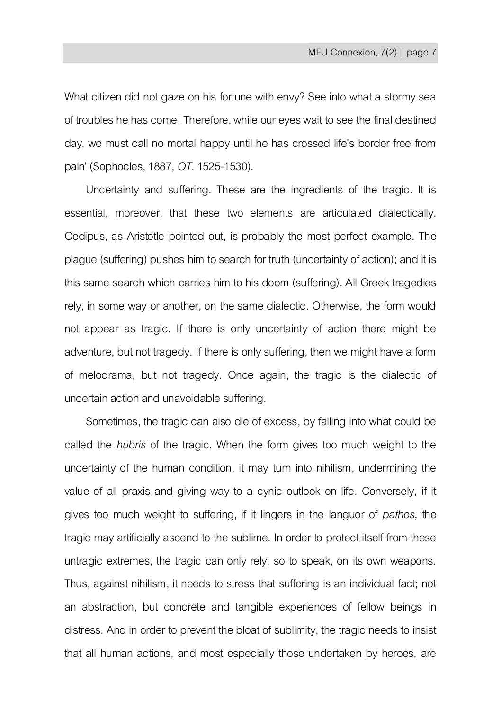What citizen did not gaze on his fortune with envy? See into what a stormy sea of troubles he has come! Therefore, while our eyes wait to see the final destined day, we must call no mortal happy until he has crossed life's border free from pain' (Sophocles, 1887, *OT*.1525-1530).

Uncertainty and suffering. These are the ingredients of the tragic. It is essential, moreover, that these two elements are articulated dialectically. Oedipus, as Aristotle pointed out, is probably the most perfect example. The plague (suffering) pushes him to search for truth (uncertainty of action); and it is this same search which carries him to his doom (suffering). All Greek tragedies rely, in some way or another, on the same dialectic. Otherwise, the form would not appear as tragic. If there is only uncertainty of action there might be adventure, but not tragedy. If there is only suffering, then we might have a form of melodrama, but not tragedy. Once again, the tragic is the dialectic of uncertain action and unavoidable suffering.

Sometimes, the tragic can also die of excess, by falling into what could be called the *hubris* of the tragic. When the form gives too much weight to the uncertainty of the human condition, it may turn into nihilism, undermining the value of all praxis and giving way to a cynic outlook on life. Conversely, if it gives too much weight to suffering, if it lingers in the languor of *pathos*, the tragic may artificially ascend to the sublime. In order to protect itself from these untragic extremes, the tragic can only rely, so to speak, on its own weapons. Thus, against nihilism, it needs to stress that suffering is an individual fact; not an abstraction, but concrete and tangible experiences of fellow beings in distress. And in order to prevent the bloat of sublimity, the tragic needs to insist that all human actions, and most especially those undertaken by heroes, are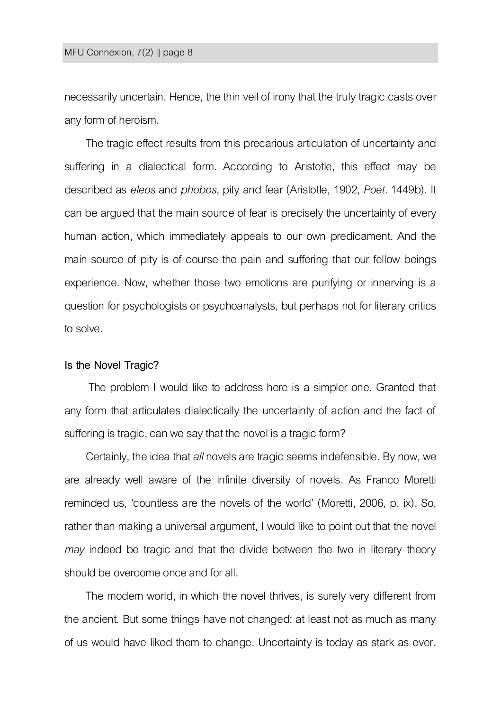necessarily uncertain. Hence, the thin veil of irony that the truly tragic casts over any form of heroism.

The tragic effect results from this precarious articulation of uncertainty and suffering in a dialectical form. According to Aristotle, this effect may be described as *eleos* and *phobos*, pity and fear (Aristotle, 1902, *Poet.* 1449b). It can be argued that the main source of fear is precisely the uncertainty of every human action, which immediately appeals to our own predicament. And the main source of pity is of course the pain and suffering that our fellow beings experience. Now, whether those two emotions are purifying or innerving is a question for psychologists or psychoanalysts, but perhaps not for literary critics to solve.

#### **Is the Novel Tragic?**

The problem I would like to address here is a simpler one. Granted that any form that articulates dialectically the uncertainty of action and the fact of suffering is tragic, can we say that the novel is a tragic form?

Certainly, the idea that *all* novels are tragic seems indefensible. By now, we are already well aware of the infinite diversity of novels. As Franco Moretti reminded us, 'countless are the novels of the world' (Moretti, 2006, p. ix). So, rather than making a universal argument, I would like to point out that the novel *may* indeed be tragic and that the divide between the two in literary theory should be overcome once and for all.

The modern world, in which the novel thrives, is surely very different from the ancient. But some things have not changed; at least not as much as many of us would have liked them to change. Uncertainty is today as stark as ever.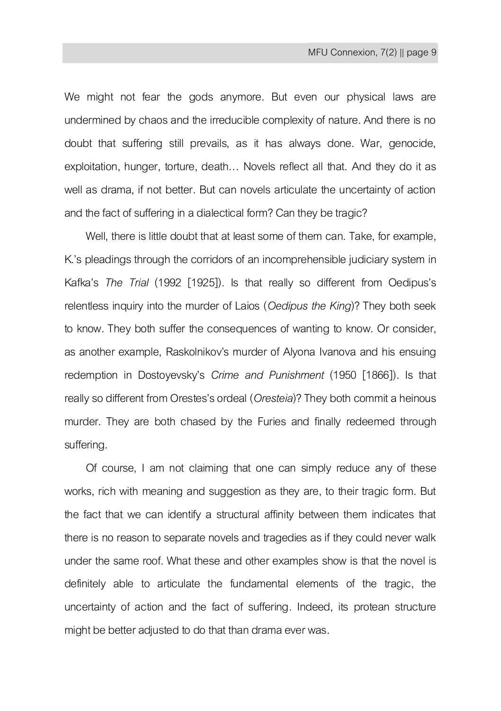We might not fear the gods anymore. But even our physical laws are undermined by chaos and the irreducible complexity of nature. And there is no doubt that suffering still prevails, as it has always done. War, genocide, exploitation, hunger, torture, death… Novels reflect all that. And they do it as well as drama, if not better. But can novels articulate the uncertainty of action and the fact of suffering in a dialectical form? Can they be tragic?

Well, there is little doubt that at least some of them can. Take, for example, K.'s pleadings through the corridors of an incomprehensible judiciary system in Kafka's *The Trial* (1992 [1925]). Is that really so different from Oedipus's relentless inquiry into the murder of Laios (*Oedipus the King*)? They both seek to know. They both suffer the consequences of wanting to know. Or consider, as another example, Raskolnikov's murder of Alyona Ivanova and his ensuing redemption in Dostoyevsky's *Crime and Punishment* (1950 [1866]). Is that really so different from Orestes's ordeal (*Oresteia*)? They both commit a heinous murder. They are both chased by the Furies and finally redeemed through suffering.

Of course, I am not claiming that one can simply reduce any of these works, rich with meaning and suggestion as they are, to their tragic form. But the fact that we can identify a structural affinity between them indicates that there is no reason to separate novels and tragedies as if they could never walk under the same roof. What these and other examples show is that the novel is definitely able to articulate the fundamental elements of the tragic, the uncertainty of action and the fact of suffering. Indeed, its protean structure might be better adjusted to do that than drama ever was.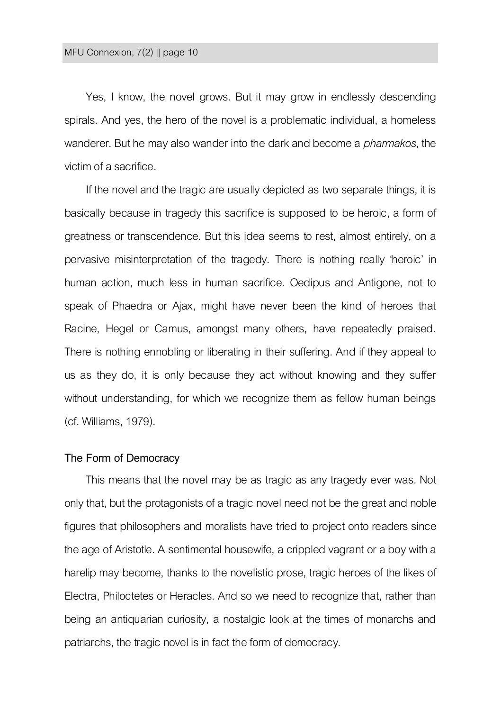Yes, I know, the novel grows. But it may grow in endlessly descending spirals. And yes, the hero of the novel is a problematic individual, a homeless wanderer. But he may also wander into the dark and become a *pharmakos*, the victim of a sacrifice.

If the novel and the tragic are usually depicted as two separate things, it is basically because in tragedy this sacrifice is supposed to be heroic, a form of greatness or transcendence. But this idea seems to rest, almost entirely, on a pervasive misinterpretation of the tragedy. There is nothing really 'heroic' in human action, much less in human sacrifice. Oedipus and Antigone, not to speak of Phaedra or Ajax, might have never been the kind of heroes that Racine, Hegel or Camus, amongst many others, have repeatedly praised. There is nothing ennobling or liberating in their suffering. And if they appeal to us as they do, it is only because they act without knowing and they suffer without understanding, for which we recognize them as fellow human beings (cf. Williams, 1979).

#### **The Form of Democracy**

This means that the novel may be as tragic as any tragedy ever was. Not only that, but the protagonists of a tragic novel need not be the great and noble figures that philosophers and moralists have tried to project onto readers since the age of Aristotle. A sentimental housewife, a crippled vagrant or a boy with a harelip may become, thanks to the novelistic prose, tragic heroes of the likes of Electra, Philoctetes or Heracles. And so we need to recognize that, rather than being an antiquarian curiosity, a nostalgic look at the times of monarchs and patriarchs, the tragic novel is in fact the form of democracy.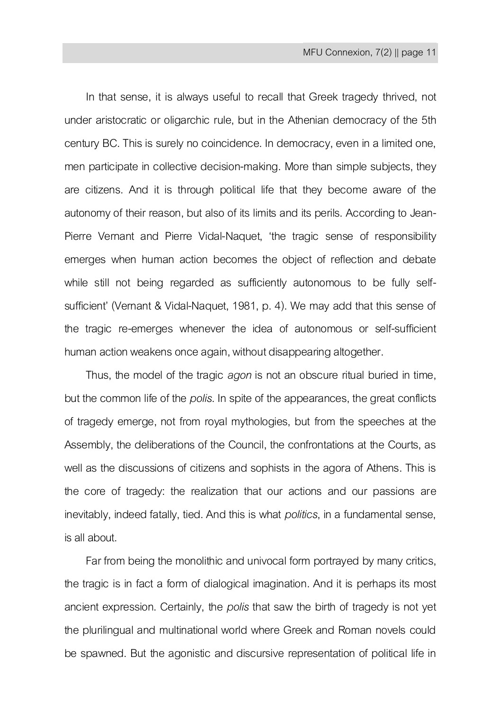In that sense, it is always useful to recall that Greek tragedy thrived, not under aristocratic or oligarchic rule, but in the Athenian democracy of the 5th century BC. This is surely no coincidence. In democracy, even in a limited one, men participate in collective decision-making. More than simple subjects, they are citizens. And it is through political life that they become aware of the autonomy of their reason, but also of its limits and its perils. According to Jean-Pierre Vernant and Pierre Vidal-Naquet, 'the tragic sense of responsibility emerges when human action becomes the object of reflection and debate while still not being regarded as sufficiently autonomous to be fully selfsufficient' (Vernant & Vidal-Naquet, 1981, p. 4). We may add that this sense of the tragic re-emerges whenever the idea of autonomous or self-sufficient human action weakens once again, without disappearing altogether.

Thus, the model of the tragic *agon* is not an obscure ritual buried in time, but thecommon life of the *polis*. In spite of the appearances, the great conflicts of tragedy emerge, not from royal mythologies, but from the speeches at the Assembly, the deliberations of the Council, the confrontations at the Courts, as well as the discussions of citizens and sophists in the agora of Athens. This is the core of tragedy: the realization that our actions and our passions are inevitably, indeed fatally, tied. And this is what *politics*, in a fundamental sense, is all about.

Far from being the monolithic and univocal form portrayed by many critics, the tragic is in fact a form of dialogical imagination. And it is perhaps its most ancient expression. Certainly, the *polis* that saw the birth of tragedy is not yet the plurilingual and multinational world where Greek and Roman novels could be spawned. But the agonistic and discursive representation of political life in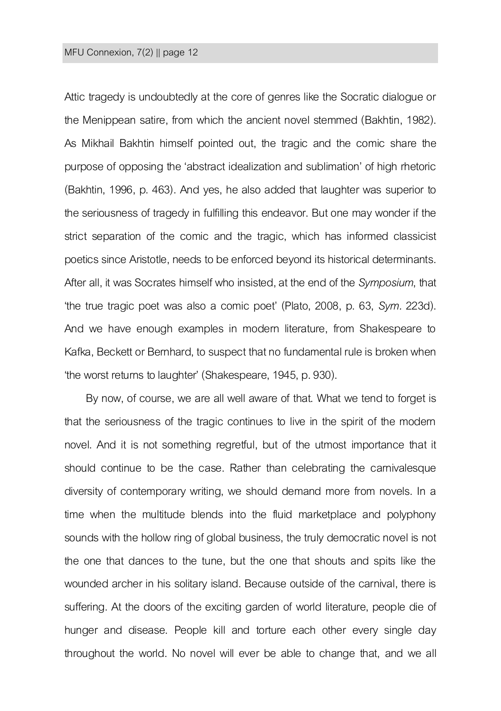#### MFU Connexion, 7(2) || page 12

Attic tragedy is undoubtedly at the core of genres like the Socratic dialogue or the Menippean satire, from which the ancient novel stemmed (Bakhtin, 1982). As Mikhail Bakhtin himself pointed out, the tragic and the comic share the purpose of opposing the 'abstract idealization and sublimation' of high rhetoric (Bakhtin, 1996, p. 463). And yes, he also added that laughter was superior to the seriousness of tragedy in fulfilling this endeavor. But one may wonder if the strict separation of the comic and the tragic, which has informed classicist poetics since Aristotle, needs to be enforced beyond its historical determinants. After all, it was Socrates himself who insisted, at the end of the *Symposium*, that 'the true tragic poet was also a comic poet' (Plato, 2008, p. 63, *Sym.* 223d). And we have enough examples in modern literature, from Shakespeare to Kafka, Beckett or Bernhard, to suspect that no fundamental rule is broken when 'the worst returns to laughter' (Shakespeare, 1945, p. 930).

By now, of course, we are all well aware of that. What we tend to forget is that the seriousness of the tragic continues to live in the spirit of the modern novel. And it is not something regretful, but of the utmost importance that it should continue to be the case. Rather than celebrating the carnivalesque diversity of contemporary writing, we should demand more from novels. In a time when the multitude blends into the fluid marketplace and polyphony sounds with the hollow ring of global business, the truly democratic novel is not the one that dances to the tune, but the one that shouts and spits like the wounded archer in his solitary island. Because outside of the carnival, there is suffering. At the doors of the exciting garden of world literature, people die of hunger and disease. People kill and torture each other every single day throughout the world. No novel will ever be able to change that, and we all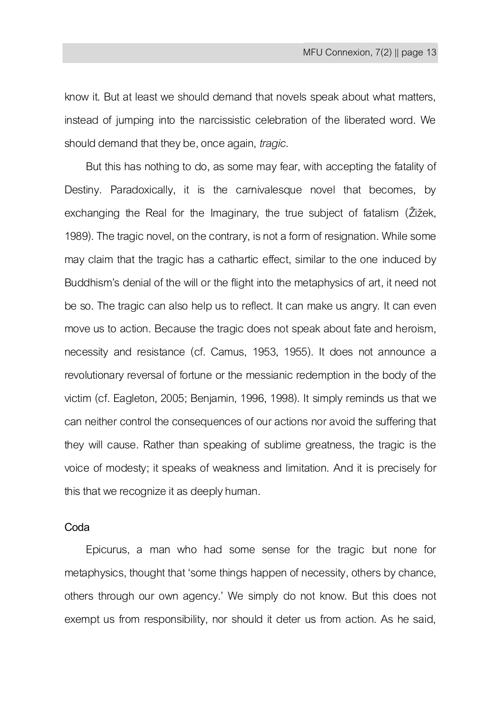know it. But at least we should demand that novels speak about what matters, instead of jumping into the narcissistic celebration of the liberated word. We should demand that they be, once again, *tragic*.

But this has nothing to do, as some may fear, with accepting the fatality of Destiny. Paradoxically, it is the carnivalesque novel that becomes, by exchanging the Real for the Imaginary, the true subject of fatalism (Žižek, 1989). The tragic novel, on the contrary, is not a form of resignation. While some may claim that the tragic has a cathartic effect, similar to the one induced by Buddhism's denial of the will or the flight into the metaphysics of art, it need not be so. The tragic can also help us to reflect. It can make us angry. It can even move us to action. Because the tragic does not speak about fate and heroism, necessity and resistance (cf. Camus, 1953, 1955). It does not announce a revolutionary reversal of fortune or the messianic redemption in the body of the victim (cf. Eagleton, 2005; Benjamin, 1996, 1998). It simply reminds us that we can neither control the consequences of our actions nor avoid the suffering that they will cause. Rather than speaking of sublime greatness, the tragic is the voice of modesty; it speaks of weakness and limitation. And it is precisely for this that we recognize it as deeply human.

## **Coda**

Epicurus, a man who had some sense for the tragic but none for metaphysics, thought that 'some things happen of necessity, others by chance, others through our own agency.' We simply do not know. But this does not exempt us from responsibility, nor should it deter us from action. As he said,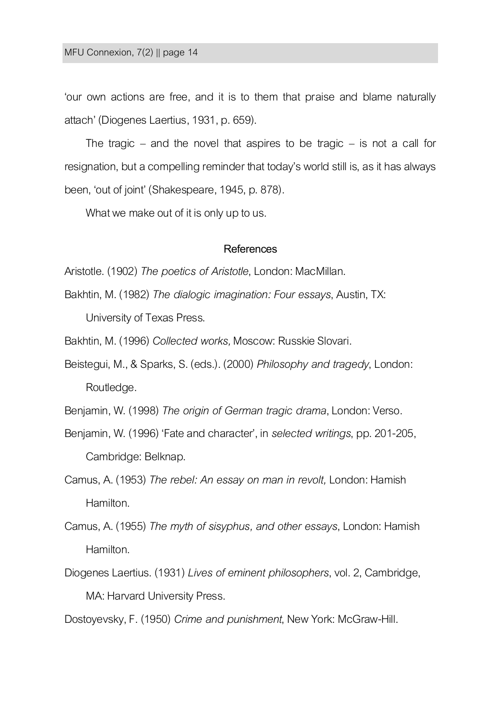'our own actions are free, and it is to them that praise and blame naturally attach' (Diogenes Laertius,1931, p. 659).

The tragic – and the novel that aspires to be tragic – is not a call for resignation, but a compelling reminder that today's world still is, as it has always been, 'out of joint' (Shakespeare, 1945, p. 878).

What we make out of it is only up to us.

#### **References**

Aristotle. (1902) *The poetics of Aristotle*, London: MacMillan.

Bakhtin, M. (1982) *The dialogic imagination: Four essays*, Austin, TX: University of Texas Press.

Bakhtin, M. (1996) *Collected works,* Moscow: Russkie Slovari.

Beistegui, M., & Sparks, S. (eds.). (2000) *Philosophy and tragedy*, London: Routledge.

Benjamin, W. (1998) *The origin of German tragic drama*, London: Verso.

- Benjamin, W. (1996) 'Fate and character', in *selected writings*, pp. 201-205, Cambridge: Belknap.
- Camus, A. (1953) *The rebel: An essay on man in revolt,* London: Hamish Hamilton.
- Camus, A. (1955) *The myth of sisyphus, and other essays*, London: Hamish Hamilton.
- Diogenes Laertius. (1931) *Lives of eminent philosophers*, vol. 2, Cambridge, MA: Harvard University Press.

Dostoyevsky, F. (1950) *Crime and punishment*, New York: McGraw-Hill.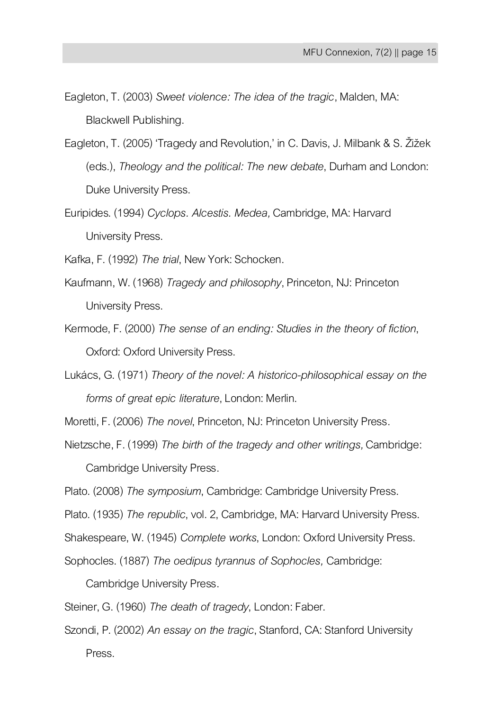- Eagleton, T. (2003) *Sweet violence: The idea of the tragic*, Malden, MA: Blackwell Publishing.
- Eagleton, T. (2005) 'Tragedy and Revolution,' in C. Davis, J. Milbank & S. Žižek (eds.), *Theology and the political: The new debate*, Durham and London: Duke University Press.
- Euripides. (1994) *Cyclops. Alcestis. Medea,* Cambridge, MA: Harvard University Press.
- Kafka, F. (1992) *The trial*, New York: Schocken.
- Kaufmann, W. (1968) *Tragedy and philosophy*, Princeton, NJ: Princeton University Press.
- Kermode, F. (2000) *The sense of an ending: Studies in the theory of fiction*, Oxford: Oxford University Press.
- Lukács, G. (1971) *Theory of the novel: A historico-philosophical essay on the forms of great epic literature*, London: Merlin.
- Moretti, F. (2006) *The novel*, Princeton, NJ: Princeton University Press.
- Nietzsche, F. (1999) *The birth of the tragedy and other writings,* Cambridge:

Cambridge University Press.

- Plato. (2008) *The symposium*, Cambridge: Cambridge University Press.
- Plato. (1935) *The republic*, vol. 2, Cambridge, MA: Harvard University Press.
- Shakespeare, W. (1945) *Complete works*, London: Oxford University Press.
- Sophocles. (1887) *The oedipus tyrannus of Sophocles,* Cambridge:

Cambridge University Press.

Steiner, G. (1960) *The death of tragedy*, London: Faber.

Szondi, P. (2002) *An essay on the tragic*, Stanford, CA: Stanford University Press.